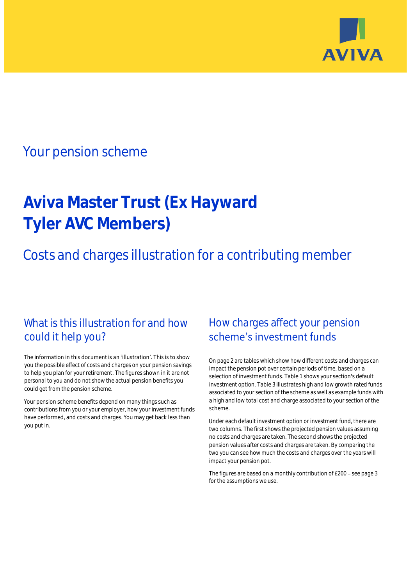

## Your pension scheme

# **Aviva Master Trust (Ex Hayward Tyler AVC Members)**

Costs and charges illustration for a contributing member

### What is this illustration for and how could it help you?

#### The information in this document is an 'illustration'. This is to show you the possible effect of costs and charges on your pension savings to help you plan for your retirement. The figures shown in it are not personal to you and do not show the actual pension benefits you could get from the pension scheme.

Your pension scheme benefits depend on many things such as contributions from you or your employer, how your investment funds have performed, and costs and charges. You may get back less than you put in.

### How charges affect your pension scheme's investment funds

On page 2 are tables which show how different costs and charges can impact the pension pot over certain periods of time, based on a selection of investment funds. Table 1 shows your section's default investment option. Table 3 illustrates high and low growth rated funds associated to your section of the scheme as well as example funds with a high and low total cost and charge associated to your section of the scheme.

Under each default investment option or investment fund, there are two columns. The first shows the projected pension values assuming no costs and charges are taken. The second shows the projected pension values after costs and charges are taken. By comparing the two you can see how much the costs and charges over the years will impact your pension pot.

The figures are based on a monthly contribution of £200 - see page 3 for the assumptions we use.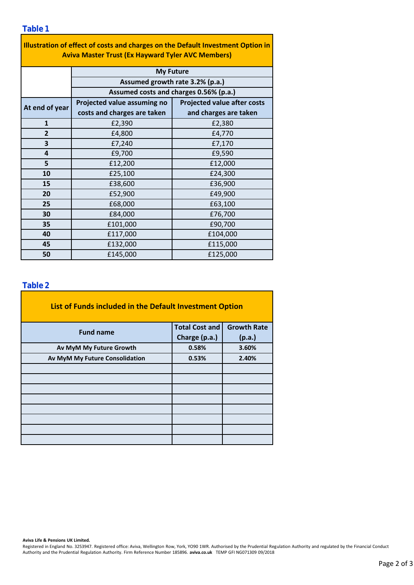| Illustration of effect of costs and charges on the Default Investment Option in<br><b>Aviva Master Trust (Ex Hayward Tyler AVC Members)</b> |                                                                           |                                    |  |  |  |
|---------------------------------------------------------------------------------------------------------------------------------------------|---------------------------------------------------------------------------|------------------------------------|--|--|--|
|                                                                                                                                             | <b>My Future</b>                                                          |                                    |  |  |  |
|                                                                                                                                             | Assumed growth rate 3.2% (p.a.)<br>Assumed costs and charges 0.56% (p.a.) |                                    |  |  |  |
|                                                                                                                                             |                                                                           |                                    |  |  |  |
| At end of year                                                                                                                              | Projected value assuming no                                               | <b>Projected value after costs</b> |  |  |  |
|                                                                                                                                             | costs and charges are taken                                               | and charges are taken              |  |  |  |
| $\mathbf{1}$                                                                                                                                | £2,390                                                                    | £2,380                             |  |  |  |
| $\overline{2}$                                                                                                                              | £4,800                                                                    | £4,770                             |  |  |  |
| 3                                                                                                                                           | £7,240                                                                    | £7,170                             |  |  |  |
| 4                                                                                                                                           | £9,700                                                                    | £9,590                             |  |  |  |
| 5                                                                                                                                           | £12,200                                                                   | £12,000                            |  |  |  |
| 10                                                                                                                                          | £25,100                                                                   | £24,300                            |  |  |  |
| 15                                                                                                                                          | £38,600                                                                   | £36,900                            |  |  |  |
| 20                                                                                                                                          | £52,900                                                                   | £49,900                            |  |  |  |
| 25                                                                                                                                          | £68,000                                                                   | £63,100                            |  |  |  |
| 30                                                                                                                                          | £84,000                                                                   | £76,700                            |  |  |  |
| 35                                                                                                                                          | £101,000                                                                  | £90,700                            |  |  |  |
| 40                                                                                                                                          | £117,000                                                                  | £104,000                           |  |  |  |
| 45                                                                                                                                          | £132,000                                                                  | £115,000                           |  |  |  |
| 50                                                                                                                                          | £145,000                                                                  | £125,000                           |  |  |  |

÷,

#### **Table 2**

| List of Funds included in the Default Investment Option |                       |                    |
|---------------------------------------------------------|-----------------------|--------------------|
| <b>Fund name</b>                                        | <b>Total Cost and</b> | <b>Growth Rate</b> |
|                                                         | Charge (p.a.)         | (p.a.)             |
| Av MyM My Future Growth                                 | 0.58%                 | 3.60%              |
| Av MyM My Future Consolidation                          | 0.53%                 | 2.40%              |
|                                                         |                       |                    |
|                                                         |                       |                    |
|                                                         |                       |                    |
|                                                         |                       |                    |
|                                                         |                       |                    |
|                                                         |                       |                    |
|                                                         |                       |                    |
|                                                         |                       |                    |

**Aviva Life & Pensions UK Limited.**

Registered in England No. 3253947. Registered office: Aviva, Wellington Row, York, YO90 1WR. Authorised by the Prudential Regulation Authority and regulated by the Financial Conduct Authority and the Prudential Regulation Authority. Firm Reference Number 185896. **aviva.co.uk** TEMP GFI NG071309 09/2018